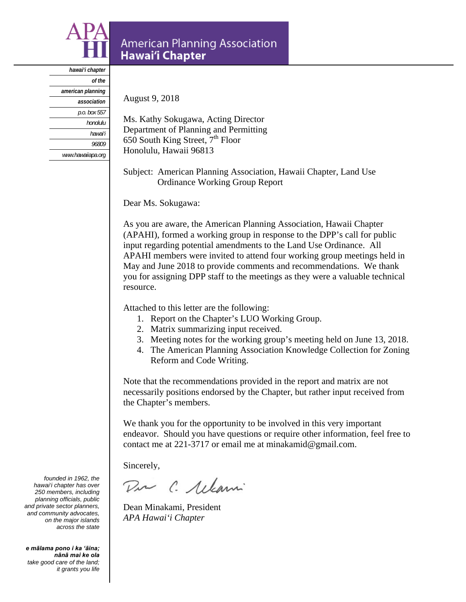

# **American Planning Association** Hawai'i Chapter

*hawai'i chapter of the american planning association p.o. box 557 honolulu hawai'i 96809 www.hawaiiapa.org*

August 9, 2018

Ms. Kathy Sokugawa, Acting Director Department of Planning and Permitting 650 South King Street,  $7<sup>th</sup>$  Floor Honolulu, Hawaii 96813

Subject: American Planning Association, Hawaii Chapter, Land Use Ordinance Working Group Report

Dear Ms. Sokugawa:

As you are aware, the American Planning Association, Hawaii Chapter (APAHI), formed a working group in response to the DPP's call for public input regarding potential amendments to the Land Use Ordinance. All APAHI members were invited to attend four working group meetings held in May and June 2018 to provide comments and recommendations. We thank you for assigning DPP staff to the meetings as they were a valuable technical resource.

Attached to this letter are the following:

- 1. Report on the Chapter's LUO Working Group.
- 2. Matrix summarizing input received.
- 3. Meeting notes for the working group's meeting held on June 13, 2018.
- 4. The American Planning Association Knowledge Collection for Zoning Reform and Code Writing.

Note that the recommendations provided in the report and matrix are not necessarily positions endorsed by the Chapter, but rather input received from the Chapter's members.

We thank you for the opportunity to be involved in this very important endeavor. Should you have questions or require other information, feel free to contact me at 221-3717 or email me at minakamid@gmail.com.

Sincerely,

Dir C. Allami

Dean Minakami, President *APA Hawai'i Chapter* 

*founded in 1962, the hawai'i chapter has over 250 members, including planning officials, public and private sector planners, and community advocates, on the major islands across the state* 

*e mālama pono i ka 'āina; nānā mai ke ola take good care of the land; it grants you life*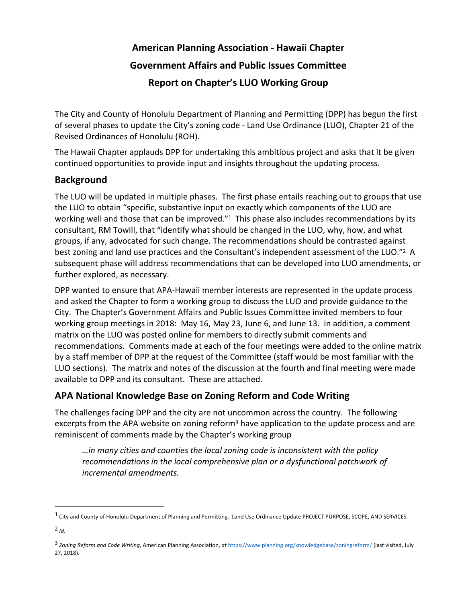# **American Planning Association ‐ Hawaii Chapter Government Affairs and Public Issues Committee Report on Chapter's LUO Working Group**

The City and County of Honolulu Department of Planning and Permitting (DPP) has begun the first of several phases to update the City's zoning code ‐ Land Use Ordinance (LUO), Chapter 21 of the Revised Ordinances of Honolulu (ROH).

The Hawaii Chapter applauds DPP for undertaking this ambitious project and asks that it be given continued opportunities to provide input and insights throughout the updating process.

#### **Background**

The LUO will be updated in multiple phases. The first phase entails reaching out to groups that use the LUO to obtain "specific, substantive input on exactly which components of the LUO are working well and those that can be improved."<sup>1</sup> This phase also includes recommendations by its consultant, RM Towill, that "identify what should be changed in the LUO, why, how, and what groups, if any, advocated for such change. The recommendations should be contrasted against best zoning and land use practices and the Consultant's independent assessment of the LUO."2 A subsequent phase will address recommendations that can be developed into LUO amendments, or further explored, as necessary.

DPP wanted to ensure that APA‐Hawaii member interests are represented in the update process and asked the Chapter to form a working group to discuss the LUO and provide guidance to the City. The Chapter's Government Affairs and Public Issues Committee invited members to four working group meetings in 2018: May 16, May 23, June 6, and June 13. In addition, a comment matrix on the LUO was posted online for members to directly submit comments and recommendations. Comments made at each of the four meetings were added to the online matrix by a staff member of DPP at the request of the Committee (staff would be most familiar with the LUO sections). The matrix and notes of the discussion at the fourth and final meeting were made available to DPP and its consultant. These are attached.

#### **APA National Knowledge Base on Zoning Reform and Code Writing**

The challenges facing DPP and the city are not uncommon across the country. The following excerpts from the APA website on zoning reform<sup>3</sup> have application to the update process and are reminiscent of comments made by the Chapter's working group

*…in many cities and counties the local zoning code is inconsistent with the policy recommendations in the local comprehensive plan or a dysfunctional patchwork of incremental amendments.*

<sup>1</sup> City and County of Honolulu Department of Planning and Permitting. Land Use Ordinance Update PROJECT PURPOSE, SCOPE, AND SERVICES.

 $2$  *Id*.

<sup>3</sup> *Zoning Reform and Code Writing*, American Planning Association, *at* https://www.planning.org/knowledgebase/zoningreform/ (last visited, July 27, 2018).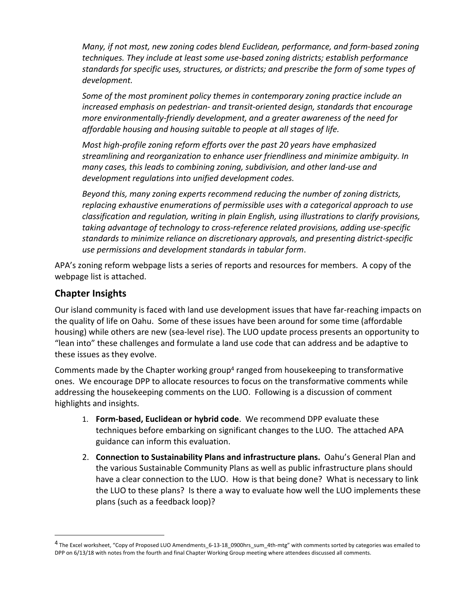*Many, if not most, new zoning codes blend Euclidean, performance, and form‐based zoning techniques. They include at least some use‐based zoning districts; establish performance standards for specific uses, structures, or districts; and prescribe the form of some types of development.*

*Some of the most prominent policy themes in contemporary zoning practice include an increased emphasis on pedestrian‐ and transit‐oriented design, standards that encourage more environmentally‐friendly development, and a greater awareness of the need for affordable housing and housing suitable to people at all stages of life.*

*Most high‐profile zoning reform efforts over the past 20 years have emphasized streamlining and reorganization to enhance user friendliness and minimize ambiguity. In many cases, this leads to combining zoning, subdivision, and other land‐use and development regulations into unified development codes.*

*Beyond this, many zoning experts recommend reducing the number of zoning districts, replacing exhaustive enumerations of permissible uses with a categorical approach to use classification and regulation, writing in plain English, using illustrations to clarify provisions, taking advantage of technology to cross‐reference related provisions, adding use‐specific standards to minimize reliance on discretionary approvals, and presenting district‐specific use permissions and development standards in tabular form*.

APA's zoning reform webpage lists a series of reports and resources for members. A copy of the webpage list is attached.

#### **Chapter Insights**

Our island community is faced with land use development issues that have far‐reaching impacts on the quality of life on Oahu. Some of these issues have been around for some time (affordable housing) while others are new (sea‐level rise). The LUO update process presents an opportunity to "lean into" these challenges and formulate a land use code that can address and be adaptive to these issues as they evolve.

Comments made by the Chapter working group4 ranged from housekeeping to transformative ones. We encourage DPP to allocate resources to focus on the transformative comments while addressing the housekeeping comments on the LUO. Following is a discussion of comment highlights and insights.

- 1. **Form‐based, Euclidean or hybrid code**. We recommend DPP evaluate these techniques before embarking on significant changes to the LUO. The attached APA guidance can inform this evaluation.
- 2. **Connection to Sustainability Plans and infrastructure plans.** Oahu's General Plan and the various Sustainable Community Plans as well as public infrastructure plans should have a clear connection to the LUO. How is that being done? What is necessary to link the LUO to these plans? Is there a way to evaluate how well the LUO implements these plans (such as a feedback loop)?

<sup>4</sup> The Excel worksheet, "Copy of Proposed LUO Amendments\_6-13-18\_0900hrs\_sum\_4th-mtg" with comments sorted by categories was emailed to DPP on 6/13/18 with notes from the fourth and final Chapter Working Group meeting where attendees discussed all comments.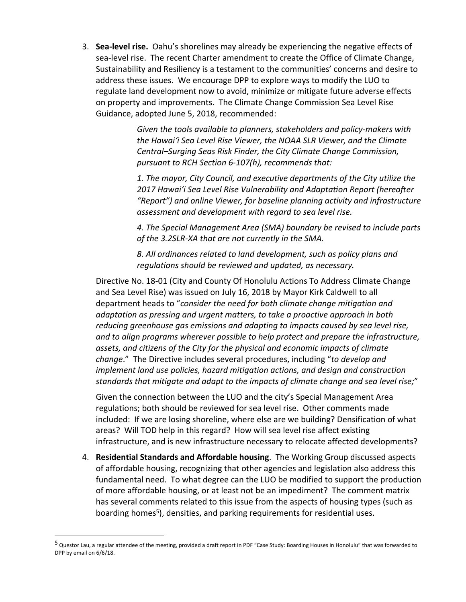3. **Sea‐level rise.** Oahu's shorelines may already be experiencing the negative effects of sea‐level rise. The recent Charter amendment to create the Office of Climate Change, Sustainability and Resiliency is a testament to the communities' concerns and desire to address these issues. We encourage DPP to explore ways to modify the LUO to regulate land development now to avoid, minimize or mitigate future adverse effects on property and improvements. The Climate Change Commission Sea Level Rise Guidance, adopted June 5, 2018, recommended:

> *Given the tools available to planners, stakeholders and policy‐makers with the Hawaiʻi Sea Level Rise Viewer, the NOAA SLR Viewer, and the Climate Central–Surging Seas Risk Finder, the City Climate Change Commission, pursuant to RCH Section 6‐107(h), recommends that:*

*1. The mayor, City Council, and executive departments of the City utilize the Z017 Hawai<sup><i>'*</sup>i Sea Level Rise Vulnerability and Adaptation Report (hereafter *"Report") and online Viewer, for baseline planning activity and infrastructure assessment and development with regard to sea level rise.* 

*4. The Special Management Area (SMA) boundary be revised to include parts of the 3.2SLR‐XA that are not currently in the SMA.* 

*8. All ordinances related to land development, such as policy plans and regulations should be reviewed and updated, as necessary.*

Directive No. 18‐01 (City and County Of Honolulu Actions To Address Climate Change and Sea Level Rise) was issued on July 16, 2018 by Mayor Kirk Caldwell to all department heads to "*consider the need for both climate change mitigation and adaptation as pressing and urgent matters, to take a proactive approach in both reducing greenhouse gas emissions and adapting to impacts caused by sea level rise, and to align programs wherever possible to help protect and prepare the infrastructure, assets, and citizens of the City for the physical and economic impacts of climate change*." The Directive includes several procedures, including "*to develop and implement land use policies, hazard mitigation actions, and design and construction standards that mitigate and adapt to the impacts of climate change and sea level rise;*"

Given the connection between the LUO and the city's Special Management Area regulations; both should be reviewed for sea level rise. Other comments made included: If we are losing shoreline, where else are we building? Densification of what areas? Will TOD help in this regard? How will sea level rise affect existing infrastructure, and is new infrastructure necessary to relocate affected developments?

4. **Residential Standards and Affordable housing**. The Working Group discussed aspects of affordable housing, recognizing that other agencies and legislation also address this fundamental need. To what degree can the LUO be modified to support the production of more affordable housing, or at least not be an impediment? The comment matrix has several comments related to this issue from the aspects of housing types (such as boarding homes<sup>5</sup>), densities, and parking requirements for residential uses.

 $^5$  Questor Lau, a regular attendee of the meeting, provided a draft report in PDF "Case Study: Boarding Houses in Honolulu" that was forwarded to DPP by email on 6/6/18.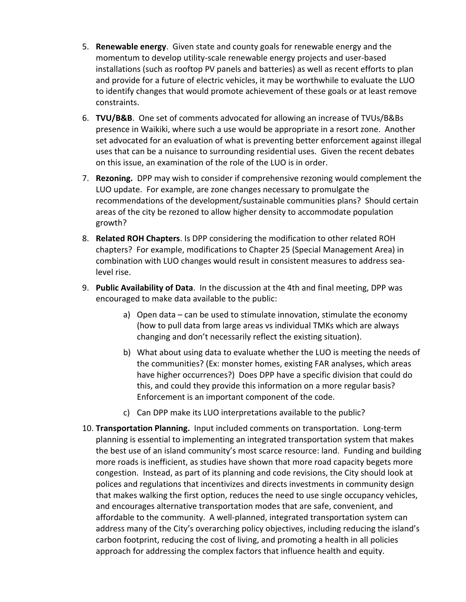- 5. **Renewable energy**. Given state and county goals for renewable energy and the momentum to develop utility-scale renewable energy projects and user-based installations (such as rooftop PV panels and batteries) as well as recent efforts to plan and provide for a future of electric vehicles, it may be worthwhile to evaluate the LUO to identify changes that would promote achievement of these goals or at least remove constraints.
- 6. **TVU/B&B**. One set of comments advocated for allowing an increase of TVUs/B&Bs presence in Waikiki, where such a use would be appropriate in a resort zone. Another set advocated for an evaluation of what is preventing better enforcement against illegal uses that can be a nuisance to surrounding residential uses. Given the recent debates on this issue, an examination of the role of the LUO is in order.
- 7. **Rezoning.** DPP may wish to consider if comprehensive rezoning would complement the LUO update. For example, are zone changes necessary to promulgate the recommendations of the development/sustainable communities plans? Should certain areas of the city be rezoned to allow higher density to accommodate population growth?
- 8. **Related ROH Chapters**. Is DPP considering the modification to other related ROH chapters? For example, modifications to Chapter 25 (Special Management Area) in combination with LUO changes would result in consistent measures to address sea‐ level rise.
- 9. **Public Availability of Data**. In the discussion at the 4th and final meeting, DPP was encouraged to make data available to the public:
	- a) Open data can be used to stimulate innovation, stimulate the economy (how to pull data from large areas vs individual TMKs which are always changing and don't necessarily reflect the existing situation).
	- b) What about using data to evaluate whether the LUO is meeting the needs of the communities? (Ex: monster homes, existing FAR analyses, which areas have higher occurrences?) Does DPP have a specific division that could do this, and could they provide this information on a more regular basis? Enforcement is an important component of the code.
	- c) Can DPP make its LUO interpretations available to the public?
- 10. **Transportation Planning.** Input included comments on transportation. Long‐term planning is essential to implementing an integrated transportation system that makes the best use of an island community's most scarce resource: land. Funding and building more roads is inefficient, as studies have shown that more road capacity begets more congestion. Instead, as part of its planning and code revisions, the City should look at polices and regulations that incentivizes and directs investments in community design that makes walking the first option, reduces the need to use single occupancy vehicles, and encourages alternative transportation modes that are safe, convenient, and affordable to the community. A well‐planned, integrated transportation system can address many of the City's overarching policy objectives, including reducing the island's carbon footprint, reducing the cost of living, and promoting a health in all policies approach for addressing the complex factors that influence health and equity.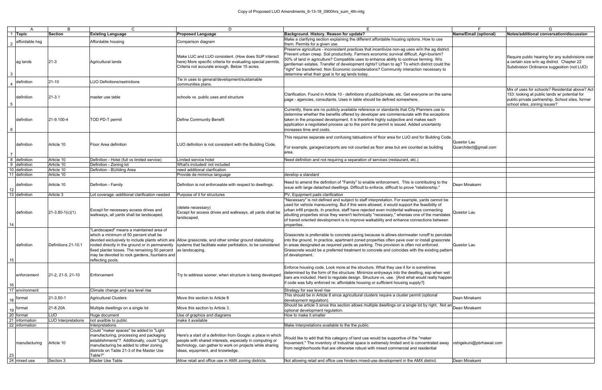|               |                       | B                   | $\mathsf{C}$                                                                                                                                                                                                                        | D                                                                                                                                                                                                                        | F                                                                                                                                                                                                                                                                                                                                                                                                                                                                                                                                       |                                      | G                                                                                                                                                                                    |
|---------------|-----------------------|---------------------|-------------------------------------------------------------------------------------------------------------------------------------------------------------------------------------------------------------------------------------|--------------------------------------------------------------------------------------------------------------------------------------------------------------------------------------------------------------------------|-----------------------------------------------------------------------------------------------------------------------------------------------------------------------------------------------------------------------------------------------------------------------------------------------------------------------------------------------------------------------------------------------------------------------------------------------------------------------------------------------------------------------------------------|--------------------------------------|--------------------------------------------------------------------------------------------------------------------------------------------------------------------------------------|
|               | 1 Topic               | <b>Section</b>      | <b>Existing Language</b>                                                                                                                                                                                                            | <b>Proposed Language</b>                                                                                                                                                                                                 | Background. History. Reason for update?                                                                                                                                                                                                                                                                                                                                                                                                                                                                                                 | Name/Email (optional)                | Notes/additional conversation/discussion                                                                                                                                             |
| $\mathcal{P}$ | affordable hsg        |                     | Affordable housing                                                                                                                                                                                                                  | Comparison diagram                                                                                                                                                                                                       | Make a clarifying section explaining the different affordable housing options. How to use<br>them. Permits for a given use.                                                                                                                                                                                                                                                                                                                                                                                                             |                                      |                                                                                                                                                                                      |
| 3             | ag lands              | $21-3$              | Agricultural lands                                                                                                                                                                                                                  | Make LUC and LUO consistent. (How does SUP interact<br>here) More specific criteria for evaluating special permits.<br>Criteria not accurate enough. Below 15 acres.                                                     | Preserve agriculture - inconsistent practices that incentivize non-ag uses w/in the ag district.<br>Prevent urban creep. Soil productivity. Farmers economic survival difficult. Agri-tourism?<br>50% of land in agriculture? Compatible uses to enhance ability to continue farming. W/o<br>gentleman estates. Transfer of development rights? Urban to ag? To which district could the<br>"right" be transferred. Non Economic considerations? Community interaction necessary to<br>determine what their goal is for ag lands today. |                                      | Require public hearing for any subdivisions over<br>a certain size w/in ag district. Chapter 22<br>Subdivision Ordinance suggestion (not LUO)                                        |
|               | $4$ definition        | $21-10$             | <b>LUO Definitions/restrictions</b>                                                                                                                                                                                                 | Tie in uses to general/development/sustainable<br>communities plans.                                                                                                                                                     |                                                                                                                                                                                                                                                                                                                                                                                                                                                                                                                                         |                                      |                                                                                                                                                                                      |
| 5             | definition            | $21 - 3.1$          | master use table                                                                                                                                                                                                                    | schools vs. public uses and structure                                                                                                                                                                                    | Clarification. Found in Article 10 - definitions of public/private, etc. Get everyone on the same<br>page - agencies, consultants. Uses in table should be defined somewhere.                                                                                                                                                                                                                                                                                                                                                           |                                      | Mix of uses for schools? Residential above? Act<br>153: looking at public lands w/ potential for<br>public-private partnership. School sites, former<br>school sites, zoning issues? |
| 6             | definition            | 21-9.100-4          | TOD PD-T permit                                                                                                                                                                                                                     | <b>Define Community Benefit</b>                                                                                                                                                                                          | Currently, there are no publicly available reference or standards that City Planners use to<br>determine whether the benefits offered by developer are commensurate with the exceptions<br>taken in the proposed development. It is therefore highly subjective and makes each<br>application a negotiated process up to the point the permit is issued. Added uncertainty<br>increases time and costs.                                                                                                                                 |                                      |                                                                                                                                                                                      |
|               | definition            | Article 10          | Floor Area definition                                                                                                                                                                                                               | LUO definition is not consistent with the Building Code.                                                                                                                                                                 | This requires separate and confusing tabluations of floor area for LUO and for Building Code.<br>For example, garages/carports are not counted as floor area but are counted as building<br>area.                                                                                                                                                                                                                                                                                                                                       | Questor Lau<br>Quarchitect@gmail.com |                                                                                                                                                                                      |
|               | 8 definition          | Article 10          | Definition - Hotel (full vs limited service)                                                                                                                                                                                        | Limited service hotel                                                                                                                                                                                                    | Need definition and not requiring a separation of services (restaurant, etc.)                                                                                                                                                                                                                                                                                                                                                                                                                                                           |                                      |                                                                                                                                                                                      |
|               | 9 definition          | Article 10          | Definition - Zoning lot                                                                                                                                                                                                             | What's included/not included                                                                                                                                                                                             |                                                                                                                                                                                                                                                                                                                                                                                                                                                                                                                                         |                                      |                                                                                                                                                                                      |
|               | 10 definition         | Article 10          | Definition - BUilding Area                                                                                                                                                                                                          | need additional clarification                                                                                                                                                                                            |                                                                                                                                                                                                                                                                                                                                                                                                                                                                                                                                         |                                      |                                                                                                                                                                                      |
|               | 11 definition         | Article 10          |                                                                                                                                                                                                                                     | Provide de minimus language                                                                                                                                                                                              | develop a standard                                                                                                                                                                                                                                                                                                                                                                                                                                                                                                                      |                                      |                                                                                                                                                                                      |
| 12            | definition            | Article 10          | Definition - Family                                                                                                                                                                                                                 | Definition is not enforceable with respect to dwellings.                                                                                                                                                                 | Need to amend the definition of "Family" to enable enforcement. This is contributing to the<br>issue with large detached dwellings. Difficult to enforce, difficult to prove "relationship."                                                                                                                                                                                                                                                                                                                                            | Dean Minakami                        |                                                                                                                                                                                      |
|               | 13 definition         | Article 3           | Lot coverage -additional clarification needed                                                                                                                                                                                       | Purpose of it for structures                                                                                                                                                                                             | PV, Equipment pads clarification                                                                                                                                                                                                                                                                                                                                                                                                                                                                                                        |                                      |                                                                                                                                                                                      |
| 14            | definition            | $21-3.80-1(c)(1)$   | Except for necessary access drives and<br>walkways, all yards shall be landscaped.                                                                                                                                                  | (delete necessary)<br>Except for access drives and walkways, all yards shall be<br>landscaped.                                                                                                                           | "Necessary" is not defined and subject to staff interpretation. For example, yards cannot be<br>used for vehicle maneuvering. But if this were allowed, it would support the feasibility of<br>urban infill projects. In practice, staff have rejected even incidental walkways connecting<br>abutting properties since they weren't technically "necessary," whereas one of the mandates<br>of transit oriented development is to improve walkability and enhance connections between<br>properties.                                   | Questor Lau                          |                                                                                                                                                                                      |
| 15            | definition            | Definitions 21-10.1 | "Landscaped" means a maintained area of<br>which a minimum of 50 percent shall be<br>fixed planter boxes. The remaining 50 percent as landscaping.<br>may be devoted to rock gardens, fountains and<br>reflecting pools.            | devoted exclusively to include plants which are Allow grasscrete, and other similar ground stabalizing<br>rooted directly in the ground or in permanently systems that facilitate water perfolation, to be considered    | Grasscrete is preferrable to concrete paving because is allows stormwater runoff to percolate<br>into the ground. In practice, apartment zoned properties often pave over or install grasscrete<br>in areas designated as required yards as parking. This provision is often not enforced.<br>Grasscrete would be a preferred treatment to concrete and coincides with the existing pattern<br>of development.                                                                                                                          | Questor Lau                          |                                                                                                                                                                                      |
| 16 I          | enforcement           | 21-2, 21-5, 21-10   | Enforcement                                                                                                                                                                                                                         | Try to address sooner, when structure is being developed.                                                                                                                                                                | Enforce housing code. Look more at the structure. What they use it for is sometimes<br>determined by the form of the structure. Minimize entryways into the dwelling, esp when wet<br>bars are included. Hard to regulate design. Structure vs. use. [And what would really happen<br>if code was fully enforced re: affordable housing or sufficient housing supply?]                                                                                                                                                                  |                                      |                                                                                                                                                                                      |
|               | 17 environment        |                     | Climate change and sea level rise                                                                                                                                                                                                   |                                                                                                                                                                                                                          | Strategy for sea level rise                                                                                                                                                                                                                                                                                                                                                                                                                                                                                                             |                                      |                                                                                                                                                                                      |
|               | $18$ format           | 21-3.50-1           | Agricultural Clusters                                                                                                                                                                                                               | Move this section to Article 8                                                                                                                                                                                           | This should be in Article 8 since agricultural clusters require a cluster permit (optional<br>development regulation).                                                                                                                                                                                                                                                                                                                                                                                                                  | Dean Minakami                        |                                                                                                                                                                                      |
|               | $19$ format           | 21-8.20A            | Multiple dwellings on a single lot                                                                                                                                                                                                  | Move this section to Article 3.                                                                                                                                                                                          | Should be article 3 since this section allows multiple dwellings on a single lot by right. Not an Dean Minakami<br>optional development regulation.                                                                                                                                                                                                                                                                                                                                                                                     |                                      |                                                                                                                                                                                      |
|               | 20 format             | <b>LUO</b>          | Huge document                                                                                                                                                                                                                       | Use of graphics and diagrams                                                                                                                                                                                             | How to make it smaller                                                                                                                                                                                                                                                                                                                                                                                                                                                                                                                  |                                      |                                                                                                                                                                                      |
|               | 21 information        | LUO Interpretations | not availble to public                                                                                                                                                                                                              | make it available                                                                                                                                                                                                        |                                                                                                                                                                                                                                                                                                                                                                                                                                                                                                                                         |                                      |                                                                                                                                                                                      |
|               | 22 information        |                     | Interpretations                                                                                                                                                                                                                     |                                                                                                                                                                                                                          | Make Interpretations available to the the public.                                                                                                                                                                                                                                                                                                                                                                                                                                                                                       |                                      |                                                                                                                                                                                      |
| 23            | <b>Imanufacturing</b> | Article 10          | Could "maker spaces" be added to "Light<br>manufacturing, processing and packaging<br>establishments"? Additionally, could "Light<br>manufacturing be added to other zoning<br>districts on Table 21-3 of the Master Use<br>Table?" | Here's a start of a definition from Google: a place in which<br>people with shared interests, especially in computing or<br>technology, can gather to work on projects while sharing<br>ideas, equipment, and knowledge. | Would like to add that this category of land use would be supportive of the "maker<br>movement." The inventory of Industrial space is extremely limited and is concentrated away vshigekuni@pbrhawaii.com<br>from neighborhoods that are otherwise robust with mixed commercial and residential                                                                                                                                                                                                                                         |                                      |                                                                                                                                                                                      |
|               | 24 mixed use          | Section 3           | <b>Master Use Table</b>                                                                                                                                                                                                             | Allow retail and office use in AMX zoning districts.                                                                                                                                                                     | Not allowing retail and office use hinders mixed-use development in the AMX district.                                                                                                                                                                                                                                                                                                                                                                                                                                                   | Dean Minakami                        |                                                                                                                                                                                      |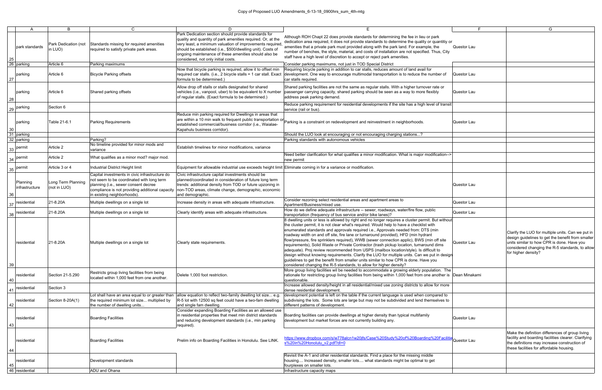| 25  | A<br>park standards                               | B<br>Park Dedication (not<br>in LUO) | C.<br>Standards missing for required amenities<br>required to satisfy private park areas.                                                                                                                             | D<br>Park Dedication section should provide standards for<br>quality and quantity of park amenities required. Or, at the<br>very least, a minimum valuation of improvements required<br>should be established (i.e., \$500/dwelling unit). Costs of<br>ongoing maintenance of these amenities should also be<br>considered, not only initial costs. | Е<br>Although ROH Chapt 22 does provide standards for determining the fee in lieu or park<br>dedication area required, it does not provide standards to determine the quality or quantitiy or<br>amenities that a private park must provided along with the park land. For example, the<br>number of benches, the style, material, and costs of installation are not specified. Thus, City<br>staff have a high level of discretion to accept or reject park amenities.                                                                                                                                                                                                                                                                                                                                                                                                                                                                                                                                                      | Questor Lau |                                                                                                                                      |
|-----|---------------------------------------------------|--------------------------------------|-----------------------------------------------------------------------------------------------------------------------------------------------------------------------------------------------------------------------|-----------------------------------------------------------------------------------------------------------------------------------------------------------------------------------------------------------------------------------------------------------------------------------------------------------------------------------------------------|------------------------------------------------------------------------------------------------------------------------------------------------------------------------------------------------------------------------------------------------------------------------------------------------------------------------------------------------------------------------------------------------------------------------------------------------------------------------------------------------------------------------------------------------------------------------------------------------------------------------------------------------------------------------------------------------------------------------------------------------------------------------------------------------------------------------------------------------------------------------------------------------------------------------------------------------------------------------------------------------------------------------------|-------------|--------------------------------------------------------------------------------------------------------------------------------------|
|     | 26 parking                                        | Article 6                            | Parking maximums                                                                                                                                                                                                      |                                                                                                                                                                                                                                                                                                                                                     | Consider parking maximums, not just in TOD Special District                                                                                                                                                                                                                                                                                                                                                                                                                                                                                                                                                                                                                                                                                                                                                                                                                                                                                                                                                                  |             |                                                                                                                                      |
| 27  | parking                                           | Article 6                            | <b>Bicycle Parking offsets</b>                                                                                                                                                                                        | Now that bicycle parking is required, allow it to offset min<br>required car stalls. (i.e., 2 bicycle stalls = 1 car stall. Exact<br>formula to be determined.)                                                                                                                                                                                     | Requiring bicycle parking in addition to car stalls, reduces amount of land avail for<br>development. One way to encourage multimodal transportation is to reduce the number of<br>car stalls required.                                                                                                                                                                                                                                                                                                                                                                                                                                                                                                                                                                                                                                                                                                                                                                                                                      | Questor Lau |                                                                                                                                      |
| 28  | parking                                           | Article 6                            | Shared parking offsets                                                                                                                                                                                                | Allow drop off stalls or stalls designated for shared<br>vehicles (i.e., vanpool, uber) to be equivalent to X number<br>of regular stalls. (Exact formula to be determined.)                                                                                                                                                                        | Shared parking facilities are not the same as regular stalls. With a higher turnover rate or<br>passenger carrying capacity, shared parking should be seen as a way to more flexibly<br>address peak parking demand.                                                                                                                                                                                                                                                                                                                                                                                                                                                                                                                                                                                                                                                                                                                                                                                                         | Questor Lau |                                                                                                                                      |
|     | 29 Parking                                        | Section 6                            |                                                                                                                                                                                                                       |                                                                                                                                                                                                                                                                                                                                                     | Reduce parking requirement for residential developments if the site has a high level of transit<br>service (rail or bus).                                                                                                                                                                                                                                                                                                                                                                                                                                                                                                                                                                                                                                                                                                                                                                                                                                                                                                    |             |                                                                                                                                      |
| 30  | parking                                           | Table 21-6.1                         | <b>Parking Requirements</b>                                                                                                                                                                                           | Reduce min parking required for Dwellings in areas that<br>established commercial/business corridor (i.e., Waialae-<br>Kapahulu business corridor).                                                                                                                                                                                                 | $\vert$ are within a 10 min walk to frequent public transportation or $\vert$ Parking is a constraint on redevelopment and reinvestment in neighborhoods.                                                                                                                                                                                                                                                                                                                                                                                                                                                                                                                                                                                                                                                                                                                                                                                                                                                                    | Questor Lau |                                                                                                                                      |
|     | 31 parking<br>32 parking<br>$\frac{33}{2}$ permit | Article 2                            | Parking?<br>No timeline provided for minor mods and<br>variance                                                                                                                                                       | Establish timelines for minor modifications, variance                                                                                                                                                                                                                                                                                               | Should the LUO look at encouraging or not encouraging charging stations?<br>Parking standards with autonomous vehicles                                                                                                                                                                                                                                                                                                                                                                                                                                                                                                                                                                                                                                                                                                                                                                                                                                                                                                       |             |                                                                                                                                      |
|     | $\frac{34}{ }$ permit                             | Article 2                            | What qualifies as a minor mod? major mod.                                                                                                                                                                             |                                                                                                                                                                                                                                                                                                                                                     | Need better clarification for what qualifies a minor modification. What is major modification--><br>new permit                                                                                                                                                                                                                                                                                                                                                                                                                                                                                                                                                                                                                                                                                                                                                                                                                                                                                                               |             |                                                                                                                                      |
|     | $\frac{35}{10}$ permit                            | Article 3 or 4                       | Industrial District Height limit                                                                                                                                                                                      | Equipment for allowable industrial use exceeds height limit Eliminate coming in for a variance or modification.                                                                                                                                                                                                                                     |                                                                                                                                                                                                                                                                                                                                                                                                                                                                                                                                                                                                                                                                                                                                                                                                                                                                                                                                                                                                                              |             |                                                                                                                                      |
| -36 | Planning<br>infrastructure                        | Long Term Planning<br>(not in LUO)   | Capital investments in civic infrastructure do<br>not seem to be coordinated with long term<br>planning (i.e., sewer consent decree<br>compliance is not providing additional capacity<br>in existing neighborhoods). | Civic infrastructure capital investments should be<br>planned/coordinated in consideration of future long term<br>trends: additional density from TOD or future upzoning in<br>non-TOD areas, climate change, demographic, economic<br>and demographic.                                                                                             |                                                                                                                                                                                                                                                                                                                                                                                                                                                                                                                                                                                                                                                                                                                                                                                                                                                                                                                                                                                                                              | Questor Lau |                                                                                                                                      |
|     | $37$ residential                                  | 21-8.20A                             | Multiple dwellings on a single lot                                                                                                                                                                                    | Increase density in areas with adequate infrastructure.                                                                                                                                                                                                                                                                                             | Consider rezoning select residential areas and apartment areas to<br>Apartment/Business/mixed use.                                                                                                                                                                                                                                                                                                                                                                                                                                                                                                                                                                                                                                                                                                                                                                                                                                                                                                                           | Questor Lau |                                                                                                                                      |
| 38  | residential                                       | 21-8.20A                             | Multiple dwellings on a single lot                                                                                                                                                                                    | Clearly identify areas with adequate infrastructure.                                                                                                                                                                                                                                                                                                | How do we define adequate infrastructure -- sewer, roadways, water/fire flow, public<br>transportation (frequency of bus service and/or bike lanes)?                                                                                                                                                                                                                                                                                                                                                                                                                                                                                                                                                                                                                                                                                                                                                                                                                                                                         | Questor Lau |                                                                                                                                      |
| 39  | residential                                       | 21-8.20A                             | Multiple dwellings on a single lot                                                                                                                                                                                    | Clearly state requirements.                                                                                                                                                                                                                                                                                                                         | 8 dwelling units or less is allowed by right and no longer requires a cluster permit. But without<br>the cluster permit, it is not clear what's required. Would help to have a checklist with<br>enumerated standards and approvals required i.e., Approvals needed from: DTS (min<br>roadway width on and off site, fire lane or turnaround provided), HFD (min hydrant<br>flow/pressure, fire sprinklers required), WWB (sewer connection applic), BWS (min off site<br>requirements), Solid Waste or Private Contractor (trash pickup location, turnaround dims<br>adequate). Proj review recommended from USPS (mailbox location/style). Is difficult to<br>design without knowing requirements. Clarify the LUO for multiple units. Can we put in design<br>guidelines to get the benefit from smaller units similar to how CPR is done. Have you<br>considered changing the R-5 standards, to allow for higher density?<br>More group living facilities wil be needed to accommodate a growing elderly population. The | Questor Lau | Clarify the LUO for multip<br>design guidelines to get<br>units similar to how CPR<br>considered changing the<br>for higher density? |
| 40  | residential                                       | Section 21-5.290                     | Restricts group living facilities from being<br>located within 1.000 feet from one another.                                                                                                                           | Delete 1,000 foot restriction.                                                                                                                                                                                                                                                                                                                      | rationale for restricting group living facilities from being within 1,000 feet from one another is Dean Minakami<br>questionable.                                                                                                                                                                                                                                                                                                                                                                                                                                                                                                                                                                                                                                                                                                                                                                                                                                                                                            |             |                                                                                                                                      |
|     | 41 residential                                    | Section 3                            |                                                                                                                                                                                                                       |                                                                                                                                                                                                                                                                                                                                                     | Increase allowed density/height in all residential/mixed use zoning districts to allow for more<br>dense residential development.                                                                                                                                                                                                                                                                                                                                                                                                                                                                                                                                                                                                                                                                                                                                                                                                                                                                                            |             |                                                                                                                                      |
| 42  | residential                                       | Section 8-20A(1)                     | the required minimum lot size multiplied by<br>the number of dwelling units                                                                                                                                           | Lot shall have an area equal to or greater than allow equation to reflect two-family dwelling lot size e.g.<br>R-5 lot with 12500 sq feet could have a two-fam dwelling<br>and single fam dwelling.<br>Consider expanding Boarding Facilities as an allowed use                                                                                     | development potential is left on the table if the current language is used when compared to<br>subdivising the lots. Some lots are large but may not be subdivided and lend themselves to<br>different patterns of development.                                                                                                                                                                                                                                                                                                                                                                                                                                                                                                                                                                                                                                                                                                                                                                                              |             |                                                                                                                                      |
| 43  | residential                                       |                                      | <b>Boarding Facilities</b>                                                                                                                                                                                            | in residential properties that meet min district standards<br>and reducing development standards (i.e., min parking<br>required).                                                                                                                                                                                                                   | Boarding facilities can provide dwellings at higher density than typical multifamily<br>development but market forces are not currently building any.                                                                                                                                                                                                                                                                                                                                                                                                                                                                                                                                                                                                                                                                                                                                                                                                                                                                        | Questor Lau |                                                                                                                                      |
| 44  | residential                                       |                                      | <b>Boarding Facilities</b>                                                                                                                                                                                            | Prelim info on Boarding Facilities in Honolulu. See LINK.                                                                                                                                                                                                                                                                                           | https://www.dropbox.com/s/w778alcn1w20jfs/Case%20Study%20of%20Boarding%20Facilitie<br>s%20in%20Honolulu v2.pdf?dl=0                                                                                                                                                                                                                                                                                                                                                                                                                                                                                                                                                                                                                                                                                                                                                                                                                                                                                                          | Questor Lau | Make the definition differ<br>facility and boarding facil<br>the definitions may increa<br>these facilities for afforda              |
| 45  | residential                                       |                                      | Development standards                                                                                                                                                                                                 |                                                                                                                                                                                                                                                                                                                                                     | Revisit the A-1 and other residential standards. Find a place for the missing middle<br>housing Increased density, smaller lots what standards might be optimal to get<br>fourplexes on smaller lots.                                                                                                                                                                                                                                                                                                                                                                                                                                                                                                                                                                                                                                                                                                                                                                                                                        |             |                                                                                                                                      |
|     | 46 residential                                    |                                      | <b>ADU</b> and Ohana                                                                                                                                                                                                  |                                                                                                                                                                                                                                                                                                                                                     | Infrastructure capacity maps                                                                                                                                                                                                                                                                                                                                                                                                                                                                                                                                                                                                                                                                                                                                                                                                                                                                                                                                                                                                 |             |                                                                                                                                      |

|                           | F                                     | G                                                                                                                                                                                                                              |
|---------------------------|---------------------------------------|--------------------------------------------------------------------------------------------------------------------------------------------------------------------------------------------------------------------------------|
| ntitiy or<br>s, City      | Questor Lau                           |                                                                                                                                                                                                                                |
| er of                     | Questor Lau                           |                                                                                                                                                                                                                                |
| or ؛                      | Questor Lau                           |                                                                                                                                                                                                                                |
| transit                   |                                       |                                                                                                                                                                                                                                |
|                           | Questor Lau                           |                                                                                                                                                                                                                                |
|                           |                                       |                                                                                                                                                                                                                                |
|                           |                                       |                                                                                                                                                                                                                                |
| ation-->                  |                                       |                                                                                                                                                                                                                                |
|                           |                                       |                                                                                                                                                                                                                                |
|                           |                                       |                                                                                                                                                                                                                                |
|                           | Questor Lau                           |                                                                                                                                                                                                                                |
|                           | Questor Lau                           |                                                                                                                                                                                                                                |
|                           | Questor Lau                           |                                                                                                                                                                                                                                |
| without                   |                                       |                                                                                                                                                                                                                                |
| site<br>ns<br>)<br>design | Questor Lau                           | Clarify the LUO for multiple units. Can we put in<br>design guidelines to get the benefit from smaller<br>units similar to how CPR is done. Have you<br>considered changing the R-5 standards, to allow<br>for higher density? |
| n. The                    |                                       |                                                                                                                                                                                                                                |
| ther is<br>more           | Dean Minakami                         |                                                                                                                                                                                                                                |
|                           |                                       |                                                                                                                                                                                                                                |
| ed to<br>ves to           |                                       |                                                                                                                                                                                                                                |
|                           | Questor Lau                           |                                                                                                                                                                                                                                |
|                           | <mark>Facilitie</mark><br>Questor Lau | Make the definition differences of group living<br>facility and boarding facilities clearer. Clarifying<br>the definitions may increase construction of<br>these facilities for affordable housing.                            |
|                           |                                       |                                                                                                                                                                                                                                |
|                           |                                       |                                                                                                                                                                                                                                |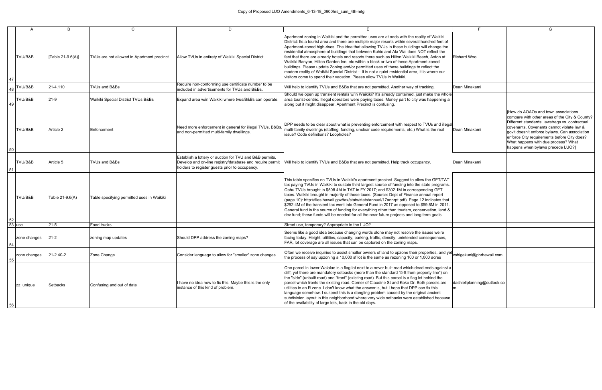|          | $\mathsf{A}$ | B                 | $\mathsf{C}$                               | D                                                                                                                                                                     |                                                                                                                                                                                                                                                                                                                                                                                                                                                                                                                                                                                                                                                                                                                                                                                                                                                         | F                           | G                                                                                                                                                                                                                                                                                                                                                                       |
|----------|--------------|-------------------|--------------------------------------------|-----------------------------------------------------------------------------------------------------------------------------------------------------------------------|---------------------------------------------------------------------------------------------------------------------------------------------------------------------------------------------------------------------------------------------------------------------------------------------------------------------------------------------------------------------------------------------------------------------------------------------------------------------------------------------------------------------------------------------------------------------------------------------------------------------------------------------------------------------------------------------------------------------------------------------------------------------------------------------------------------------------------------------------------|-----------------------------|-------------------------------------------------------------------------------------------------------------------------------------------------------------------------------------------------------------------------------------------------------------------------------------------------------------------------------------------------------------------------|
| 47       | TVU/B&B      | [Table 21-9.6(A)] | TVUs are not allowed in Apartment precinct | Allow TVUs in entirety of Waikiki Special District                                                                                                                    | Apartment zoning in Waikiki and the permitted uses are at odds with the reality of Waikiki<br>District: Its a tourist area and there are multiple major resorts within several hundred feet of<br>Apartment-zoned high-rises. The idea that allowing TVUs in these buildings will change the<br>residential atmosphere of buildings that between Kuhio and Ala Wai does NOT reflect the<br>fact that there are already hotels and resorts there such as Hilton Waikiki Beach, Aston at<br>Waikiki Banyan, Hilton Garden Inn, etc within a block or two of these Apartment zoned<br>buildings. Please update Zoning and/or permitted uses of these buildings to reflect the<br>modern reality of Waikiki Special District -- It is not a quiet residential area, it is where our<br>visitors come to spend their vacation. Please allow TVUs in Waikiki. | Richard Woo                 |                                                                                                                                                                                                                                                                                                                                                                         |
|          | $48$ TVU/B&B | 21-4.110          | TVUs and B&Bs                              | Require non-conforming use certificate number to be<br>included in advertisements for TVUs and B&Bs.                                                                  | Will help to identify TVUs and B&Bs that are not permitted. Another way of tracking.                                                                                                                                                                                                                                                                                                                                                                                                                                                                                                                                                                                                                                                                                                                                                                    | Dean Minakami               |                                                                                                                                                                                                                                                                                                                                                                         |
| 49       | TVU/B&B      | $21-9$            | Waikiki Special District TVUs B&Bs         | Expand area w/in Waikiki where tvus/B&Bs can operate.                                                                                                                 | Should we open up transient rentals w/in Waikiki? It's already contained, just make the whole<br>area tourist-centric. Illegal operators were paying taxes. Money part to city was happening all<br>along but it might disappear. Apartment Precinct is confusing.                                                                                                                                                                                                                                                                                                                                                                                                                                                                                                                                                                                      |                             |                                                                                                                                                                                                                                                                                                                                                                         |
| 50       | TVU/B&B      | Article 2         | lEnforcement                               | Need more enforcement in general for illegal TVUs, B&Bs,<br>and non-permitted multi-family dwellings.                                                                 | DPP needs to be clear about what is preventing enforcement with respect to TVUs and illegal<br>multi-family dwellings (staffing, funding, unclear code requirements, etc.) What is the real<br>lissue? Code definitions? Loopholes?                                                                                                                                                                                                                                                                                                                                                                                                                                                                                                                                                                                                                     | Dean Minakami               | <b>IHow do AOAOs and town associations</b><br>compare with other areas of the City & County?<br>Different standards: laws/regs vs. contractual<br>covenants. Covenants cannot violate law &<br>gov't doesn't enforce bylaws. Can association<br>enforce City requirements before City does?<br>What happens with due process? What<br>happens when bylaws precede LUO?] |
| 51       | TVU/B&B      | Article 5         | TVUs and B&Bs                              | Establish a lottery or auction for TVU and B&B permits.<br>Develop and on-line registry/database and require permit<br>holders to register guests prior to occupancy. | Will help to identify TVUs and B&Bs that are not permitted. Help track occupancy.                                                                                                                                                                                                                                                                                                                                                                                                                                                                                                                                                                                                                                                                                                                                                                       | Dean Minakami               |                                                                                                                                                                                                                                                                                                                                                                         |
| 52       | TVU/B&B      | Table 21-9.6(A)   | Table specifying permitted uses in Waikiki |                                                                                                                                                                       | This table specifies no TVUs in Waikiki's apartment precinct. Suggest to allow the GET/TAT<br>tax paying TVUs in Waikiki to sustain third largest source of funding into the state programs.<br>Oahu TVUs brought in \$508.4M in TAT in FY 2017; and \$302.1M in corresponding GET<br>taxes. Waikiki brought in majority of those taxes. (Source: Dept of Finance annual report<br>(page 10): http://files.hawaii.gov/tax/stats/stats/annual/17annrpt.pdf) Page 12 indicates that<br>\$292.4M of the transient tax went into General Fund in 2017 as opposed to \$59.8M in 2011.<br>General fund is the source of funding for everything other than tourism, conservation, land &<br>dev fund; these funds will be needed for all the near future projects and long term goals.                                                                         |                             |                                                                                                                                                                                                                                                                                                                                                                         |
| $53$ use |              | $ 21-5 $          | Food trucks                                |                                                                                                                                                                       | Street use, temporary? Appropriate in the LUO?                                                                                                                                                                                                                                                                                                                                                                                                                                                                                                                                                                                                                                                                                                                                                                                                          |                             |                                                                                                                                                                                                                                                                                                                                                                         |
| 54       | zone changes | $ 21-2 $          | zoning map updates                         | Should DPP address the zoning maps?                                                                                                                                   | Seems like a good idea because changing words alone may not resolve the issues we're<br>facing today. Height, utilities, capacity, parking, traffic, density, unintended consequences,<br>FAR, lot coverage are all issues that can be captured on the zoning maps.                                                                                                                                                                                                                                                                                                                                                                                                                                                                                                                                                                                     |                             |                                                                                                                                                                                                                                                                                                                                                                         |
| 55       | zone changes | 21-2.40-2         | Zone Change                                | Consider language to allow for "smaller" zone changes                                                                                                                 | Often we receive inquiries to assist smaller owners of land to upzone their properties, and yet vshigekuni@pbrhawaii.com<br>the process of say upzoning a 10,000 sf lot is the same as rezoning 100 or 1,000 acres                                                                                                                                                                                                                                                                                                                                                                                                                                                                                                                                                                                                                                      |                             |                                                                                                                                                                                                                                                                                                                                                                         |
| 56       | zz unique    | Setbacks          | Confusing and out of date                  | I have no idea how to fix this. Maybe this is the only<br>instance of this kind of problem.                                                                           | One parcel in lower Waialae is a flag lot next to a never built road which dead ends against a<br>cliff, yet there are mandatory setbacks (more than the standard "5-ft from property line") on<br>the "side" (unbuilt road) and "front" (existing road). But this parcel is a flag lot behind the<br>parcel which fronts the existing road. Corner of Claudine St and Koko Dr. Both parcels are<br>utilities in an R zone. I don't know what the answer is, but I hope that DPP can fix this<br>language somehow. I suspect this is a dangling problem caused by the original ancient<br>subdivision layout in this neighborhood where very wide setbacks were established because<br>of the availability of large lots, back in the old days.                                                                                                         | dashiellplanning@outlook.co |                                                                                                                                                                                                                                                                                                                                                                         |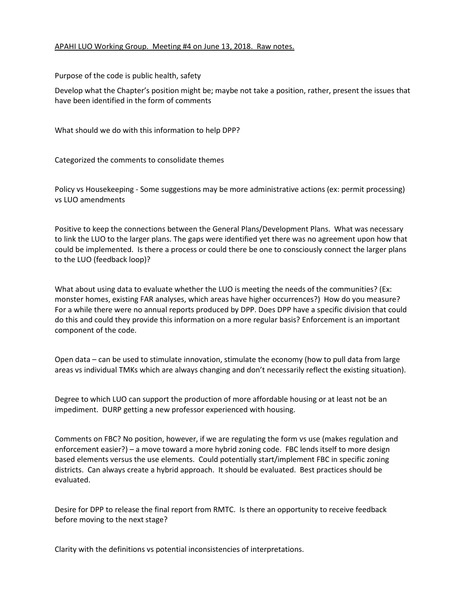#### APAHI LUO Working Group. Meeting #4 on June 13, 2018. Raw notes.

Purpose of the code is public health, safety

Develop what the Chapter's position might be; maybe not take a position, rather, present the issues that have been identified in the form of comments

What should we do with this information to help DPP?

Categorized the comments to consolidate themes

Policy vs Housekeeping - Some suggestions may be more administrative actions (ex: permit processing) vs LUO amendments

Positive to keep the connections between the General Plans/Development Plans. What was necessary to link the LUO to the larger plans. The gaps were identified yet there was no agreement upon how that could be implemented. Is there a process or could there be one to consciously connect the larger plans to the LUO (feedback loop)?

What about using data to evaluate whether the LUO is meeting the needs of the communities? (Ex: monster homes, existing FAR analyses, which areas have higher occurrences?) How do you measure? For a while there were no annual reports produced by DPP. Does DPP have a specific division that could do this and could they provide this information on a more regular basis? Enforcement is an important component of the code.

Open data – can be used to stimulate innovation, stimulate the economy (how to pull data from large areas vs individual TMKs which are always changing and don't necessarily reflect the existing situation).

Degree to which LUO can support the production of more affordable housing or at least not be an impediment. DURP getting a new professor experienced with housing.

Comments on FBC? No position, however, if we are regulating the form vs use (makes regulation and enforcement easier?) – a move toward a more hybrid zoning code. FBC lends itself to more design based elements versus the use elements. Could potentially start/implement FBC in specific zoning districts. Can always create a hybrid approach. It should be evaluated. Best practices should be evaluated.

Desire for DPP to release the final report from RMTC. Is there an opportunity to receive feedback before moving to the next stage?

Clarity with the definitions vs potential inconsistencies of interpretations.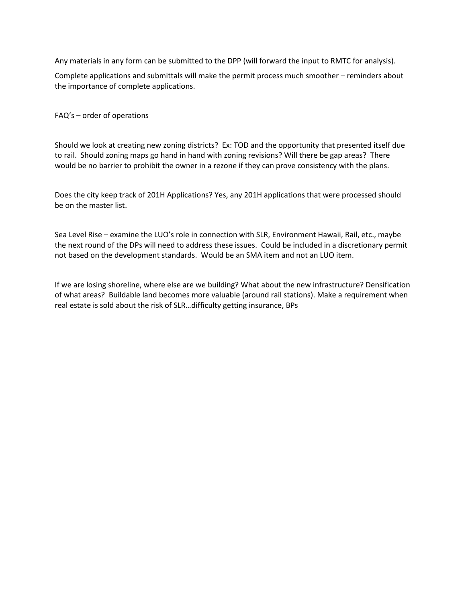Any materials in any form can be submitted to the DPP (will forward the input to RMTC for analysis).

Complete applications and submittals will make the permit process much smoother – reminders about the importance of complete applications.

FAQ's – order of operations

Should we look at creating new zoning districts? Ex: TOD and the opportunity that presented itself due to rail. Should zoning maps go hand in hand with zoning revisions? Will there be gap areas? There would be no barrier to prohibit the owner in a rezone if they can prove consistency with the plans.

Does the city keep track of 201H Applications? Yes, any 201H applications that were processed should be on the master list.

Sea Level Rise – examine the LUO's role in connection with SLR, Environment Hawaii, Rail, etc., maybe the next round of the DPs will need to address these issues. Could be included in a discretionary permit not based on the development standards. Would be an SMA item and not an LUO item.

If we are losing shoreline, where else are we building? What about the new infrastructure? Densification of what areas? Buildable land becomes more valuable (around rail stations). Make a requirement when real estate is sold about the risk of SLR…difficulty getting insurance, BPs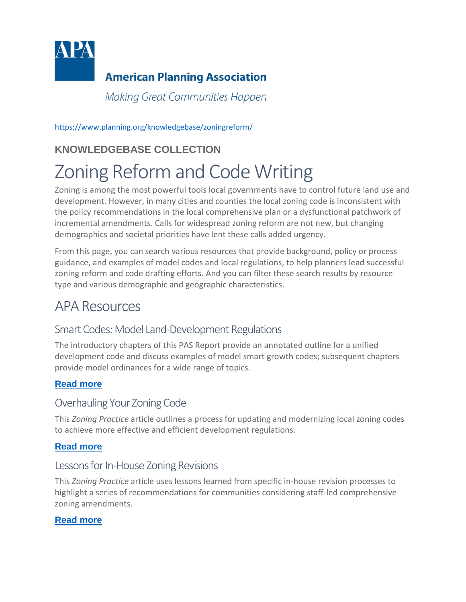

# **American Planning Association**

Making Great Communities Happer.

<https://www.planning.org/knowledgebase/zoningreform/>

# **KNOWLEDGEBASE COLLECTION**

# Zoning Reform and Code Writing

Zoning is among the most powerful tools local governments have to control future land use and development. However, in many cities and counties the local zoning code is inconsistent with the policy recommendations in the local comprehensive plan or a dysfunctional patchwork of incremental amendments. Calls for widespread zoning reform are not new, but changing demographics and societal priorities have lent these calls added urgency.

From this page, you can search various resources that provide background, policy or process guidance, and examples of model codes and local regulations, to help planners lead successful zoning reform and code drafting efforts. And you can filter these search results by resource type and various demographic and geographic characteristics.

# APA Resources

# Smart Codes: Model Land-Development Regulations

The introductory chapters of this PAS Report provide an annotated outline for a unified development code and discuss examples of model smart growth codes; subsequent chapters provide model ordinances for a wide range of topics.

#### **[Read more](https://www.planning.org/publications/report/9026880/)**

#### Overhauling Your Zoning Code

This *Zoning Practice* article outlines a process for updating and modernizing local zoning codes to achieve more effective and efficient development regulations.

#### **[Read more](https://www.planning.org/publications/document/9027711/)**

#### Lessons for In-House Zoning Revisions

This *Zoning Practice* article uses lessons learned from specific in-house revision processes to highlight a series of recommendations for communities considering staff-led comprehensive zoning amendments.

#### **[Read more](https://www.planning.org/publications/document/9006878/)**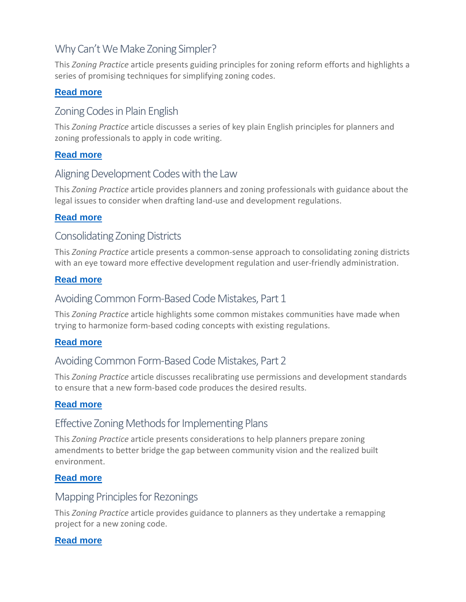## Why Can't We Make Zoning Simpler?

This *Zoning Practice* article presents guiding principles for zoning reform efforts and highlights a series of promising techniques for simplifying zoning codes.

#### **[Read more](https://www.planning.org/publications/document/9140065/)**

#### Zoning Codes in Plain English

This *Zoning Practice* article discusses a series of key plain English principles for planners and zoning professionals to apply in code writing.

#### **[Read more](https://www.planning.org/publications/document/9006882/)**

#### Aligning Development Codes with the Law

This *Zoning Practice* article provides planners and zoning professionals with guidance about the legal issues to consider when drafting land-use and development regulations.

#### **[Read more](https://www.planning.org/publications/document/9006884/)**

#### Consolidating Zoning Districts

This *Zoning Practice* article presents a common-sense approach to consolidating zoning districts with an eye toward more effective development regulation and user-friendly administration.

#### **[Read more](https://www.planning.org/publications/document/9006919/)**

#### Avoiding Common Form-Based Code Mistakes, Part 1

This *Zoning Practice* article highlights some common mistakes communities have made when trying to harmonize form-based coding concepts with existing regulations.

#### **[Read more](https://www.planning.org/publications/document/9006903/)**

#### Avoiding Common Form-Based Code Mistakes, Part 2

This *Zoning Practice* article discusses recalibrating use permissions and development standards to ensure that a new form-based code produces the desired results.

#### **[Read more](https://www.planning.org/media/document/9006902/)**

#### Effective Zoning Methods for Implementing Plans

This *Zoning Practice* article presents considerations to help planners prepare zoning amendments to better bridge the gap between community vision and the realized built environment.

#### **[Read more](https://www.planning.org/publications/document/9006875/)**

#### Mapping Principles for Rezonings

This *Zoning Practice* article provides guidance to planners as they undertake a remapping project for a new zoning code.

#### **[Read more](https://www.planning.org/publications/document/9006921/)**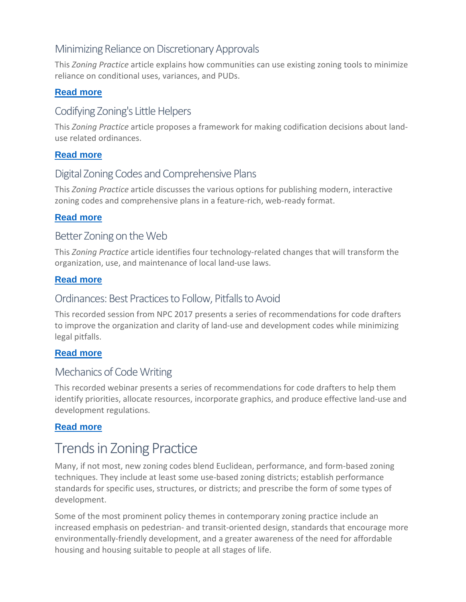## Minimizing Reliance on Discretionary Approvals

This *Zoning Practice* article explains how communities can use existing zoning tools to minimize reliance on conditional uses, variances, and PUDs.

#### **[Read more](https://www.planning.org/publications/document/9100319/)**

#### Codifying Zoning's Little Helpers

This *Zoning Practice* article proposes a framework for making codification decisions about landuse related ordinances.

#### **[Read more](https://www.planning.org/publications/document/9006871/)**

#### Digital Zoning Codes and Comprehensive Plans

This *Zoning Practice* article discusses the various options for publishing modern, interactive zoning codes and comprehensive plans in a feature-rich, web-ready format.

#### **[Read more](https://www.planning.org/publications/document/9134561/)**

#### Better Zoning on the Web

This *Zoning Practice* article identifies four technology-related changes that will transform the organization, use, and maintenance of local land-use laws.

#### **[Read more](https://www.planning.org/publications/document/9027709/)**

#### Ordinances: Best Practices to Follow, Pitfalls to Avoid

This recorded session from NPC 2017 presents a series of recommendations for code drafters to improve the organization and clarity of land-use and development codes while minimizing legal pitfalls.

#### **[Read more](https://www.planning.org/events/course/9126546/)**

#### Mechanics of Code Writing

This recorded webinar presents a series of recommendations for code drafters to help them identify priorities, allocate resources, incorporate graphics, and produce effective land-use and development regulations.

#### **[Read more](https://www.planning.org/events/course/3015256/)**

# Trends in Zoning Practice

Many, if not most, new zoning codes blend Euclidean, performance, and form-based zoning techniques. They include at least some use-based zoning districts; establish performance standards for specific uses, structures, or districts; and prescribe the form of some types of development.

Some of the most prominent policy themes in contemporary zoning practice include an increased emphasis on pedestrian- and transit-oriented design, standards that encourage more environmentally-friendly development, and a greater awareness of the need for affordable housing and housing suitable to people at all stages of life.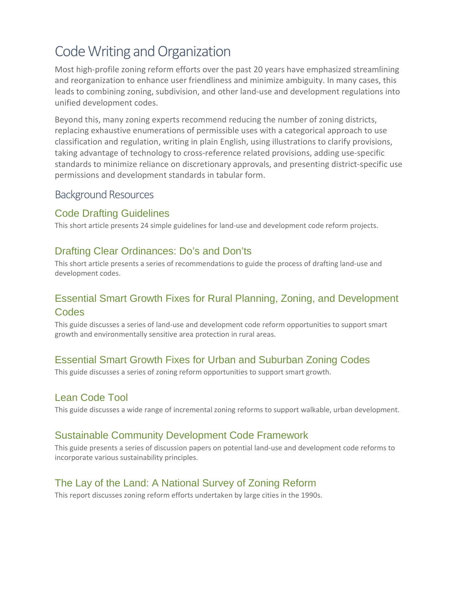# Code Writing and Organization

Most high-profile zoning reform efforts over the past 20 years have emphasized streamlining and reorganization to enhance user friendliness and minimize ambiguity. In many cases, this leads to combining zoning, subdivision, and other land-use and development regulations into unified development codes.

Beyond this, many zoning experts recommend reducing the number of zoning districts, replacing exhaustive enumerations of permissible uses with a categorical approach to use classification and regulation, writing in plain English, using illustrations to clarify provisions, taking advantage of technology to cross-reference related provisions, adding use-specific standards to minimize reliance on discretionary approvals, and presenting district-specific use permissions and development standards in tabular form.

#### Background Resources

#### [Code Drafting Guidelines](https://www.planning.org/knowledgebase/resource/9128775/)

This short article presents 24 simple guidelines for land-use and development code reform projects.

#### [Drafting Clear Ordinances: Do's and Don'ts](https://www.planning.org/knowledgebase/resource/9128785/)

This short article presents a series of recommendations to guide the process of drafting land-use and development codes.

#### [Essential Smart Growth Fixes for Rural Planning, Zoning, and Development](https://www.planning.org/knowledgebase/resource/9128770/)  [Codes](https://www.planning.org/knowledgebase/resource/9128770/)

This guide discusses a series of land-use and development code reform opportunities to support smart growth and environmentally sensitive area protection in rural areas.

#### [Essential Smart Growth Fixes for Urban and Suburban Zoning Codes](https://www.planning.org/knowledgebase/resource/9128769/)

This guide discusses a series of zoning reform opportunities to support smart growth.

## [Lean Code Tool](https://www.planning.org/knowledgebase/resource/9128781/)

This guide discusses a wide range of incremental zoning reforms to support walkable, urban development.

#### [Sustainable Community Development Code Framework](https://www.planning.org/knowledgebase/resource/9128772/)

This guide presents a series of discussion papers on potential land-use and development code reforms to incorporate various sustainability principles.

## [The Lay of the Land: A National Survey of Zoning Reform](https://www.planning.org/knowledgebase/resource/9128783/)

This report discusses zoning reform efforts undertaken by large cities in the 1990s.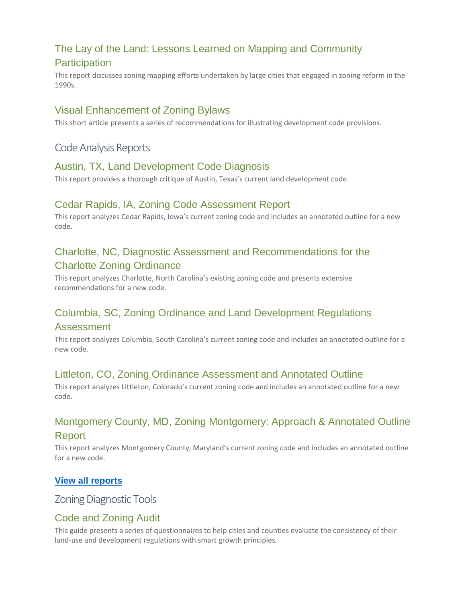# [The Lay of the Land: Lessons Learned on Mapping and](https://www.planning.org/knowledgebase/resource/9128784/) Community **[Participation](https://www.planning.org/knowledgebase/resource/9128784/)**

This report discusses zoning mapping efforts undertaken by large cities that engaged in zoning reform in the 1990s.

#### [Visual Enhancement of Zoning Bylaws](https://www.planning.org/knowledgebase/resource/9128786/)

This short article presents a series of recommendations for illustrating development code provisions.

#### Code Analysis Reports

#### [Austin, TX, Land Development Code Diagnosis](https://www.planning.org/knowledgebase/resource/9128794/)

This report provides a thorough critique of Austin, Texas's current land development code.

#### [Cedar Rapids, IA, Zoning Code Assessment Report](https://www.planning.org/knowledgebase/resource/9128788/)

This report analyzes Cedar Rapids, Iowa's current zoning code and includes an annotated outline for a new code.

#### [Charlotte, NC, Diagnostic Assessment and Recommendations for the](https://www.planning.org/knowledgebase/resource/9128798/)  [Charlotte Zoning Ordinance](https://www.planning.org/knowledgebase/resource/9128798/)

This report analyzes Charlotte, North Carolina's existing zoning code and presents extensive recommendations for a new code.

# [Columbia, SC, Zoning Ordinance and Land Development Regulations](https://www.planning.org/knowledgebase/resource/9128793/)

#### [Assessment](https://www.planning.org/knowledgebase/resource/9128793/)

This report analyzes Columbia, South Carolina's current zoning code and includes an annotated outline for a new code.

#### [Littleton, CO, Zoning Ordinance Assessment and Annotated Outline](https://www.planning.org/knowledgebase/resource/9128792/)

This report analyzes Littleton, Colorado's current zoning code and includes an annotated outline for a new code.

#### [Montgomery County, MD, Zoning Montgomery: Approach & Annotated Outline](https://www.planning.org/knowledgebase/resource/9128799/)  [Report](https://www.planning.org/knowledgebase/resource/9128799/)

This report analyzes Montgomery County, Maryland's current zoning code and includes an annotated outline for a new code.

#### **[View all reports](https://www.planning.org/knowledgebase/collection/9120265/search/?keyword=&tags=1539&sort=relevance)**

Zoning Diagnostic Tools

#### [Code and Zoning Audit](https://www.planning.org/knowledgebase/resource/9128801/)

This guide presents a series of questionnaires to help cities and counties evaluate the consistency of their land-use and development regulations with smart growth principles.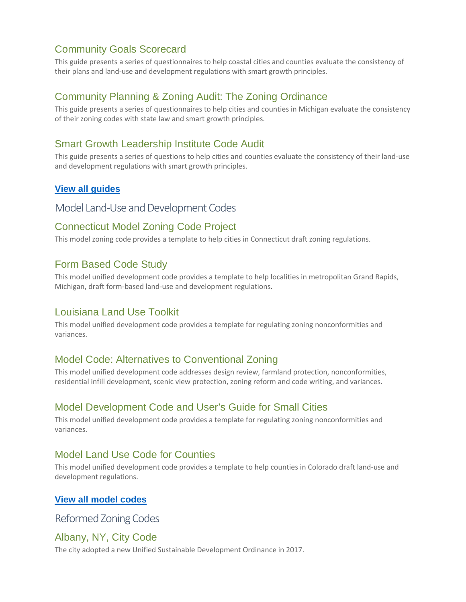#### [Community Goals Scorecard](https://www.planning.org/knowledgebase/resource/9128804/)

This guide presents a series of questionnaires to help coastal cities and counties evaluate the consistency of their plans and land-use and development regulations with smart growth principles.

#### [Community Planning & Zoning Audit: The Zoning Ordinance](https://www.planning.org/knowledgebase/resource/9128802/)

This guide presents a series of questionnaires to help cities and counties in Michigan evaluate the consistency of their zoning codes with state law and smart growth principles.

#### [Smart Growth Leadership Institute Code Audit](https://www.planning.org/knowledgebase/resource/9128803/)

This guide presents a series of questions to help cities and counties evaluate the consistency of their land-use and development regulations with smart growth principles.

#### **[View all guides](https://www.planning.org/knowledgebase/collection/9120265/search/?keyword=&tags=1524&sort=relevance)**

#### Model Land-Use and Development Codes

#### [Connecticut Model Zoning Code Project](https://www.planning.org/knowledgebase/resource/9128806/)

This model zoning code provides a template to help cities in Connecticut draft zoning regulations.

#### [Form Based Code Study](https://www.planning.org/knowledgebase/resource/9128808/)

This model unified development code provides a template to help localities in metropolitan Grand Rapids, Michigan, draft form-based land-use and development regulations.

#### [Louisiana Land Use Toolkit](https://www.planning.org/knowledgebase/resource/9127394/)

This model unified development code provides a template for regulating zoning nonconformities and variances.

#### [Model Code: Alternatives to Conventional Zoning](https://www.planning.org/knowledgebase/resource/9127393/)

This model unified development code addresses design review, farmland protection, nonconformities, residential infill development, scenic view protection, zoning reform and code writing, and variances.

#### [Model Development Code and User's Guide for Small Cities](https://www.planning.org/knowledgebase/resource/9127397/)

This model unified development code provides a template for regulating zoning nonconformities and variances.

#### [Model Land Use Code for Counties](https://www.planning.org/knowledgebase/resource/9128805/)

This model unified development code provides a template to help counties in Colorado draft land-use and development regulations.

#### **[View all model codes](https://www.planning.org/knowledgebase/collection/9120265/search/?keyword=&tags=1526&sort=relevance)**

Reformed Zoning Codes

#### [Albany, NY, City Code](https://www.planning.org/knowledgebase/resource/9128809/)

The city adopted a new Unified Sustainable Development Ordinance in 2017.